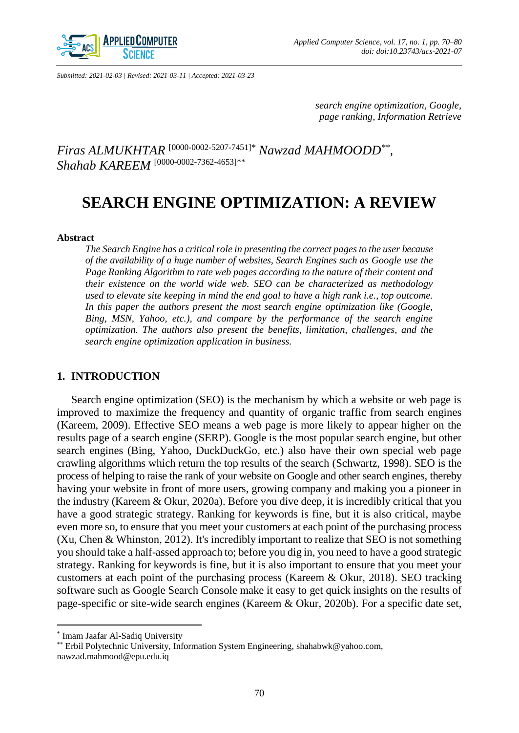

*Submitted: 2021-02-03 | Revised: 2021-03-11 | Accepted: 2021-03-23*

*search engine optimization, Google, page ranking, Information Retrieve*

*Firas ALMUKHTAR* [\[0000-0002-5207-7451\]](https://orcid.org/0000-0002-5207-7451)*\* Nawzad MAHMOODD\*\* , Shahab KAREEM* [\[0000-0002-7362-4653\]](https://orcid.org/0000-0002-7362-4653)\*\*

# **SEARCH ENGINE OPTIMIZATION: A REVIEW**

#### **Abstract**

*The Search Engine has a critical role in presenting the correct pages to the user because of the availability of a huge number of websites, Search Engines such as Google use the Page Ranking Algorithm to rate web pages according to the nature of their content and their existence on the world wide web. SEO can be characterized as methodology used to elevate site keeping in mind the end goal to have a high rank i.e., top outcome. In this paper the authors present the most search engine optimization like (Google, Bing, MSN, Yahoo, etc.), and compare by the performance of the search engine optimization. The authors also present the benefits, limitation, challenges, and the search engine optimization application in business.*

## **1. INTRODUCTION**

Search engine optimization (SEO) is the mechanism by which a website or web page is improved to maximize the frequency and quantity of organic traffic from search engines (Kareem, 2009). Effective SEO means a web page is more likely to appear higher on the results page of a search engine (SERP). Google is the most popular search engine, but other search engines (Bing, Yahoo, DuckDuckGo, etc.) also have their own special web page crawling algorithms which return the top results of the search (Schwartz, 1998). SEO is the process of helping to raise the rank of your website on Google and other search engines, thereby having your website in front of more users, growing company and making you a pioneer in the industry (Kareem & Okur, 2020a). Before you dive deep, it is incredibly critical that you have a good strategic strategy. Ranking for keywords is fine, but it is also critical, maybe even more so, to ensure that you meet your customers at each point of the purchasing process (Xu, Chen & Whinston, 2012). It's incredibly important to realize that SEO is not something you should take a half-assed approach to; before you dig in, you need to have a good strategic strategy. Ranking for keywords is fine, but it is also important to ensure that you meet your customers at each point of the purchasing process (Kareem & Okur, 2018). SEO tracking software such as Google Search Console make it easy to get quick insights on the results of page-specific or site-wide search engines (Kareem & Okur, 2020b). For a specific date set,

 $\overline{a}$ 

<sup>\*</sup> Imam Jaafar Al-Sadiq University

<sup>\*\*</sup> Erbil Polytechnic University, Information System Engineering, shahabwk@yahoo.com, nawzad.mahmood@epu.edu.iq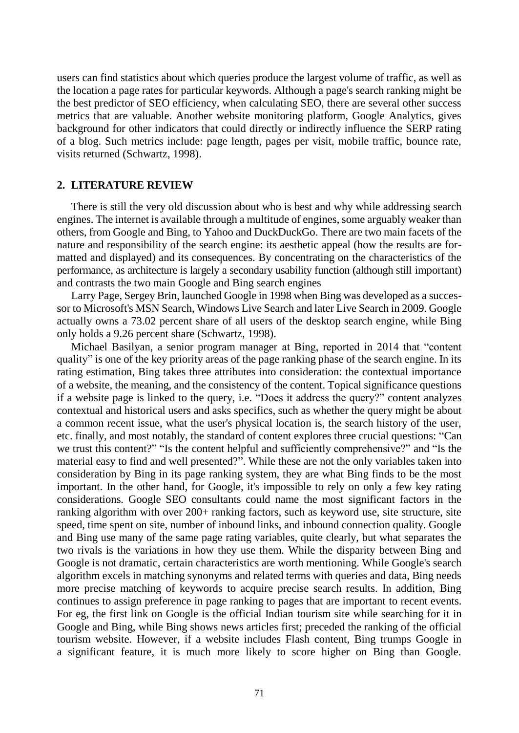users can find statistics about which queries produce the largest volume of traffic, as well as the location a page rates for particular keywords. Although a page's search ranking might be the best predictor of SEO efficiency, when calculating SEO, there are several other success metrics that are valuable. Another website monitoring platform, Google Analytics, gives background for other indicators that could directly or indirectly influence the SERP rating of a blog. Such metrics include: page length, pages per visit, mobile traffic, bounce rate, visits returned (Schwartz, 1998).

# **2. LITERATURE REVIEW**

There is still the very old discussion about who is best and why while addressing search engines. The internet is available through a multitude of engines, some arguably weaker than others, from Google and Bing, to Yahoo and DuckDuckGo. There are two main facets of the nature and responsibility of the search engine: its aesthetic appeal (how the results are formatted and displayed) and its consequences. By concentrating on the characteristics of the performance, as architecture is largely a secondary usability function (although still important) and contrasts the two main Google and Bing search engines

Larry Page, Sergey Brin, launched Google in 1998 when Bing was developed as a successor to Microsoft's MSN Search, Windows Live Search and later Live Search in 2009. Google actually owns a 73.02 percent share of all users of the desktop search engine, while Bing only holds a 9.26 percent share (Schwartz, 1998).

Michael Basilyan, a senior program manager at Bing, reported in 2014 that "content quality" is one of the key priority areas of the page ranking phase of the search engine. In its rating estimation, Bing takes three attributes into consideration: the contextual importance of a website, the meaning, and the consistency of the content. Topical significance questions if a website page is linked to the query, i.e. "Does it address the query?" content analyzes contextual and historical users and asks specifics, such as whether the query might be about a common recent issue, what the user's physical location is, the search history of the user, etc. finally, and most notably, the standard of content explores three crucial questions: "Can we trust this content?" "Is the content helpful and sufficiently comprehensive?" and "Is the material easy to find and well presented?". While these are not the only variables taken into consideration by Bing in its page ranking system, they are what Bing finds to be the most important. In the other hand, for Google, it's impossible to rely on only a few key rating considerations. Google SEO consultants could name the most significant factors in the ranking algorithm with over 200+ ranking factors, such as keyword use, site structure, site speed, time spent on site, number of inbound links, and inbound connection quality. Google and Bing use many of the same page rating variables, quite clearly, but what separates the two rivals is the variations in how they use them. While the disparity between Bing and Google is not dramatic, certain characteristics are worth mentioning. While Google's search algorithm excels in matching synonyms and related terms with queries and data, Bing needs more precise matching of keywords to acquire precise search results. In addition, Bing continues to assign preference in page ranking to pages that are important to recent events. For eg, the first link on Google is the official Indian tourism site while searching for it in Google and Bing, while Bing shows news articles first; preceded the ranking of the official tourism website. However, if a website includes Flash content, Bing trumps Google in a significant feature, it is much more likely to score higher on Bing than Google.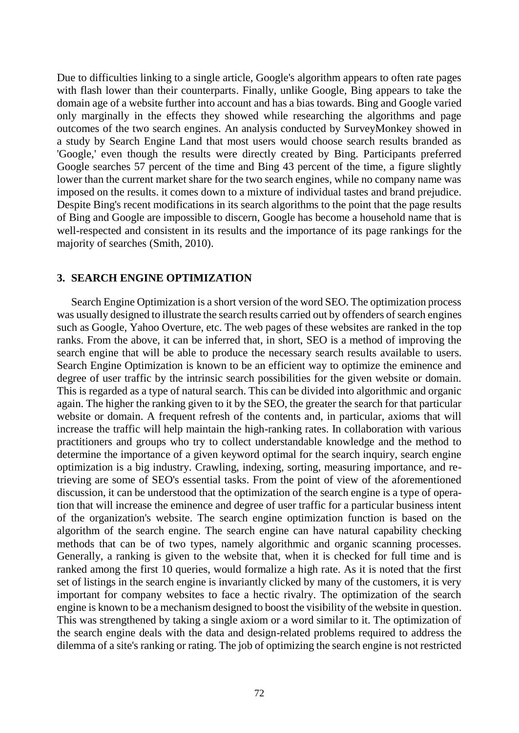Due to difficulties linking to a single article, Google's algorithm appears to often rate pages with flash lower than their counterparts. Finally, unlike Google, Bing appears to take the domain age of a website further into account and has a bias towards. Bing and Google varied only marginally in the effects they showed while researching the algorithms and page outcomes of the two search engines. An analysis conducted by SurveyMonkey showed in a study by Search Engine Land that most users would choose search results branded as 'Google,' even though the results were directly created by Bing. Participants preferred Google searches 57 percent of the time and Bing 43 percent of the time, a figure slightly lower than the current market share for the two search engines, while no company name was imposed on the results. it comes down to a mixture of individual tastes and brand prejudice. Despite Bing's recent modifications in its search algorithms to the point that the page results of Bing and Google are impossible to discern, Google has become a household name that is well-respected and consistent in its results and the importance of its page rankings for the majority of searches (Smith, 2010).

# **3. SEARCH ENGINE OPTIMIZATION**

Search Engine Optimization is a short version of the word SEO. The optimization process was usually designed to illustrate the search results carried out by offenders of search engines such as Google, Yahoo Overture, etc. The web pages of these websites are ranked in the top ranks. From the above, it can be inferred that, in short, SEO is a method of improving the search engine that will be able to produce the necessary search results available to users. Search Engine Optimization is known to be an efficient way to optimize the eminence and degree of user traffic by the intrinsic search possibilities for the given website or domain. This is regarded as a type of natural search. This can be divided into algorithmic and organic again. The higher the ranking given to it by the SEO, the greater the search for that particular website or domain. A frequent refresh of the contents and, in particular, axioms that will increase the traffic will help maintain the high-ranking rates. In collaboration with various practitioners and groups who try to collect understandable knowledge and the method to determine the importance of a given keyword optimal for the search inquiry, search engine optimization is a big industry. Crawling, indexing, sorting, measuring importance, and retrieving are some of SEO's essential tasks. From the point of view of the aforementioned discussion, it can be understood that the optimization of the search engine is a type of operation that will increase the eminence and degree of user traffic for a particular business intent of the organization's website. The search engine optimization function is based on the algorithm of the search engine. The search engine can have natural capability checking methods that can be of two types, namely algorithmic and organic scanning processes. Generally, a ranking is given to the website that, when it is checked for full time and is ranked among the first 10 queries, would formalize a high rate. As it is noted that the first set of listings in the search engine is invariantly clicked by many of the customers, it is very important for company websites to face a hectic rivalry. The optimization of the search engine is known to be a mechanism designed to boost the visibility of the website in question. This was strengthened by taking a single axiom or a word similar to it. The optimization of the search engine deals with the data and design-related problems required to address the dilemma of a site's ranking or rating. The job of optimizing the search engine is not restricted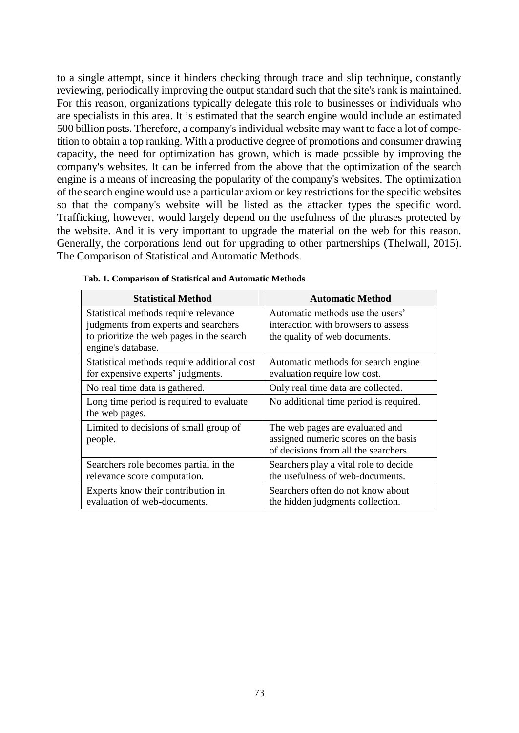to a single attempt, since it hinders checking through trace and slip technique, constantly reviewing, periodically improving the output standard such that the site's rank is maintained. For this reason, organizations typically delegate this role to businesses or individuals who are specialists in this area. It is estimated that the search engine would include an estimated 500 billion posts. Therefore, a company's individual website may want to face a lot of competition to obtain a top ranking. With a productive degree of promotions and consumer drawing capacity, the need for optimization has grown, which is made possible by improving the company's websites. It can be inferred from the above that the optimization of the search engine is a means of increasing the popularity of the company's websites. The optimization of the search engine would use a particular axiom or key restrictions for the specific websites so that the company's website will be listed as the attacker types the specific word. Trafficking, however, would largely depend on the usefulness of the phrases protected by the website. And it is very important to upgrade the material on the web for this reason. Generally, the corporations lend out for upgrading to other partnerships (Thelwall, 2015). The Comparison of Statistical and Automatic Methods.

| <b>Statistical Method</b>                                                                                                                        | <b>Automatic Method</b>                                                                                         |  |
|--------------------------------------------------------------------------------------------------------------------------------------------------|-----------------------------------------------------------------------------------------------------------------|--|
| Statistical methods require relevance<br>judgments from experts and searchers<br>to prioritize the web pages in the search<br>engine's database. | Automatic methods use the users'<br>interaction with browsers to assess<br>the quality of web documents.        |  |
| Statistical methods require additional cost<br>for expensive experts' judgments.                                                                 | Automatic methods for search engine<br>evaluation require low cost.                                             |  |
| No real time data is gathered.                                                                                                                   | Only real time data are collected.                                                                              |  |
| Long time period is required to evaluate<br>the web pages.                                                                                       | No additional time period is required.                                                                          |  |
| Limited to decisions of small group of<br>people.                                                                                                | The web pages are evaluated and<br>assigned numeric scores on the basis<br>of decisions from all the searchers. |  |
| Searchers role becomes partial in the<br>relevance score computation.                                                                            | Searchers play a vital role to decide<br>the usefulness of web-documents.                                       |  |
| Experts know their contribution in<br>evaluation of web-documents.                                                                               | Searchers often do not know about<br>the hidden judgments collection.                                           |  |

| Tab. 1. Comparison of Statistical and Automatic Methods |  |  |
|---------------------------------------------------------|--|--|
|---------------------------------------------------------|--|--|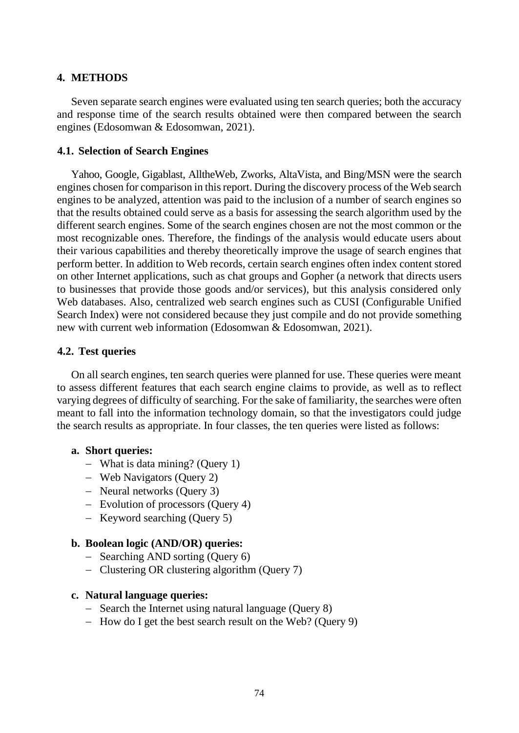# **4. METHODS**

Seven separate search engines were evaluated using ten search queries; both the accuracy and response time of the search results obtained were then compared between the search engines (Edosomwan & Edosomwan, 2021).

# **4.1. Selection of Search Engines**

Yahoo, Google, Gigablast, AlltheWeb, Zworks, AltaVista, and Bing/MSN were the search engines chosen for comparison in this report. During the discovery process of the Web search engines to be analyzed, attention was paid to the inclusion of a number of search engines so that the results obtained could serve as a basis for assessing the search algorithm used by the different search engines. Some of the search engines chosen are not the most common or the most recognizable ones. Therefore, the findings of the analysis would educate users about their various capabilities and thereby theoretically improve the usage of search engines that perform better. In addition to Web records, certain search engines often index content stored on other Internet applications, such as chat groups and Gopher (a network that directs users to businesses that provide those goods and/or services), but this analysis considered only Web databases. Also, centralized web search engines such as CUSI (Configurable Unified Search Index) were not considered because they just compile and do not provide something new with current web information (Edosomwan & Edosomwan, 2021).

# **4.2. Test queries**

On all search engines, ten search queries were planned for use. These queries were meant to assess different features that each search engine claims to provide, as well as to reflect varying degrees of difficulty of searching. For the sake of familiarity, the searches were often meant to fall into the information technology domain, so that the investigators could judge the search results as appropriate. In four classes, the ten queries were listed as follows:

## **a. Short queries:**

- What is data mining? (Query 1)
- Web Navigators (Query 2)
- Neural networks (Query 3)
- Evolution of processors (Query 4)
- $-$  Keyword searching (Query 5)

## **b. Boolean logic (AND/OR) queries:**

- Searching AND sorting (Query 6)
- Clustering OR clustering algorithm (Query 7)

## **c. Natural language queries:**

- Search the Internet using natural language (Query 8)
- $-$  How do I get the best search result on the Web? (Ouery 9)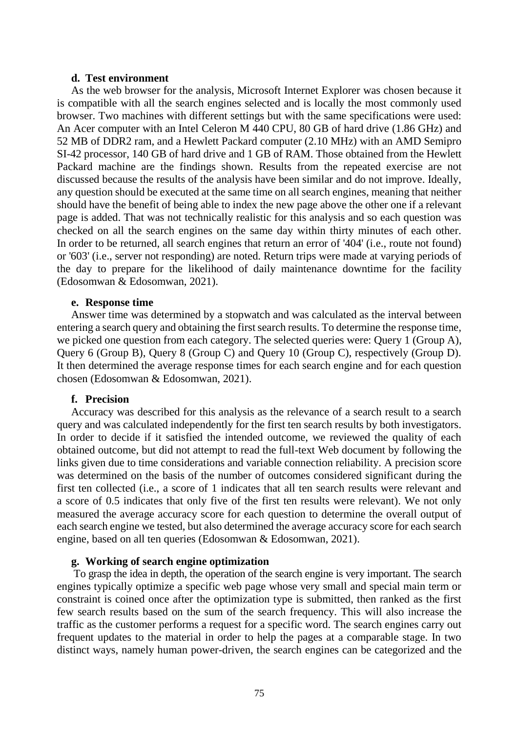#### **d. Test environment**

As the web browser for the analysis, Microsoft Internet Explorer was chosen because it is compatible with all the search engines selected and is locally the most commonly used browser. Two machines with different settings but with the same specifications were used: An Acer computer with an Intel Celeron M 440 CPU, 80 GB of hard drive (1.86 GHz) and 52 MB of DDR2 ram, and a Hewlett Packard computer (2.10 MHz) with an AMD Semipro SI-42 processor, 140 GB of hard drive and 1 GB of RAM. Those obtained from the Hewlett Packard machine are the findings shown. Results from the repeated exercise are not discussed because the results of the analysis have been similar and do not improve. Ideally, any question should be executed at the same time on all search engines, meaning that neither should have the benefit of being able to index the new page above the other one if a relevant page is added. That was not technically realistic for this analysis and so each question was checked on all the search engines on the same day within thirty minutes of each other. In order to be returned, all search engines that return an error of '404' (i.e., route not found) or '603' (i.e., server not responding) are noted. Return trips were made at varying periods of the day to prepare for the likelihood of daily maintenance downtime for the facility (Edosomwan & Edosomwan, 2021).

#### **e. Response time**

Answer time was determined by a stopwatch and was calculated as the interval between entering a search query and obtaining the first search results. To determine the response time, we picked one question from each category. The selected queries were: Query 1 (Group A), Query 6 (Group B), Query 8 (Group C) and Query 10 (Group C), respectively (Group D). It then determined the average response times for each search engine and for each question chosen (Edosomwan & Edosomwan, 2021).

#### **f. Precision**

Accuracy was described for this analysis as the relevance of a search result to a search query and was calculated independently for the first ten search results by both investigators. In order to decide if it satisfied the intended outcome, we reviewed the quality of each obtained outcome, but did not attempt to read the full-text Web document by following the links given due to time considerations and variable connection reliability. A precision score was determined on the basis of the number of outcomes considered significant during the first ten collected (i.e., a score of 1 indicates that all ten search results were relevant and a score of 0.5 indicates that only five of the first ten results were relevant). We not only measured the average accuracy score for each question to determine the overall output of each search engine we tested, but also determined the average accuracy score for each search engine, based on all ten queries (Edosomwan & Edosomwan, 2021).

### **g. Working of search engine optimization**

To grasp the idea in depth, the operation of the search engine is very important. The search engines typically optimize a specific web page whose very small and special main term or constraint is coined once after the optimization type is submitted, then ranked as the first few search results based on the sum of the search frequency. This will also increase the traffic as the customer performs a request for a specific word. The search engines carry out frequent updates to the material in order to help the pages at a comparable stage. In two distinct ways, namely human power-driven, the search engines can be categorized and the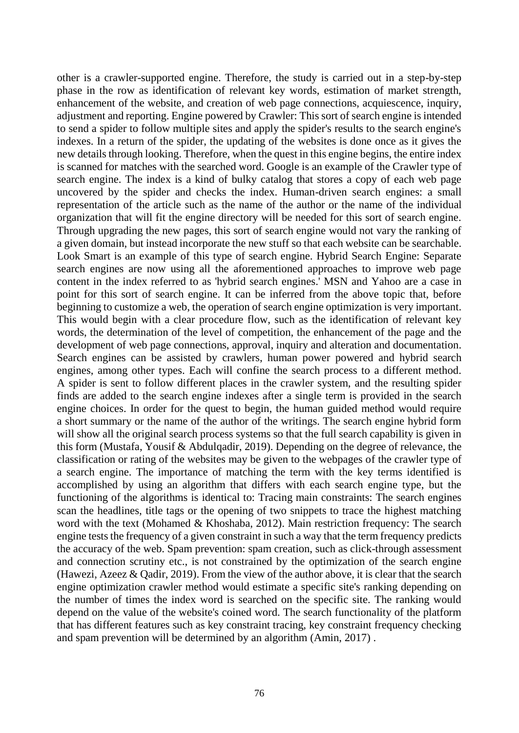other is a crawler-supported engine. Therefore, the study is carried out in a step-by-step phase in the row as identification of relevant key words, estimation of market strength, enhancement of the website, and creation of web page connections, acquiescence, inquiry, adjustment and reporting. Engine powered by Crawler: This sort of search engine is intended to send a spider to follow multiple sites and apply the spider's results to the search engine's indexes. In a return of the spider, the updating of the websites is done once as it gives the new details through looking. Therefore, when the quest in this engine begins, the entire index is scanned for matches with the searched word. Google is an example of the Crawler type of search engine. The index is a kind of bulky catalog that stores a copy of each web page uncovered by the spider and checks the index. Human-driven search engines: a small representation of the article such as the name of the author or the name of the individual organization that will fit the engine directory will be needed for this sort of search engine. Through upgrading the new pages, this sort of search engine would not vary the ranking of a given domain, but instead incorporate the new stuff so that each website can be searchable. Look Smart is an example of this type of search engine. Hybrid Search Engine: Separate search engines are now using all the aforementioned approaches to improve web page content in the index referred to as 'hybrid search engines.' MSN and Yahoo are a case in point for this sort of search engine. It can be inferred from the above topic that, before beginning to customize a web, the operation of search engine optimization is very important. This would begin with a clear procedure flow, such as the identification of relevant key words, the determination of the level of competition, the enhancement of the page and the development of web page connections, approval, inquiry and alteration and documentation. Search engines can be assisted by crawlers, human power powered and hybrid search engines, among other types. Each will confine the search process to a different method. A spider is sent to follow different places in the crawler system, and the resulting spider finds are added to the search engine indexes after a single term is provided in the search engine choices. In order for the quest to begin, the human guided method would require a short summary or the name of the author of the writings. The search engine hybrid form will show all the original search process systems so that the full search capability is given in this form (Mustafa, Yousif & Abdulqadir, 2019). Depending on the degree of relevance, the classification or rating of the websites may be given to the webpages of the crawler type of a search engine. The importance of matching the term with the key terms identified is accomplished by using an algorithm that differs with each search engine type, but the functioning of the algorithms is identical to: Tracing main constraints: The search engines scan the headlines, title tags or the opening of two snippets to trace the highest matching word with the text (Mohamed & Khoshaba, 2012). Main restriction frequency: The search engine tests the frequency of a given constraint in such a way that the term frequency predicts the accuracy of the web. Spam prevention: spam creation, such as click-through assessment and connection scrutiny etc., is not constrained by the optimization of the search engine (Hawezi, Azeez & Qadir, 2019). From the view of the author above, it is clear that the search engine optimization crawler method would estimate a specific site's ranking depending on the number of times the index word is searched on the specific site. The ranking would depend on the value of the website's coined word. The search functionality of the platform that has different features such as key constraint tracing, key constraint frequency checking and spam prevention will be determined by an algorithm (Amin, 2017) .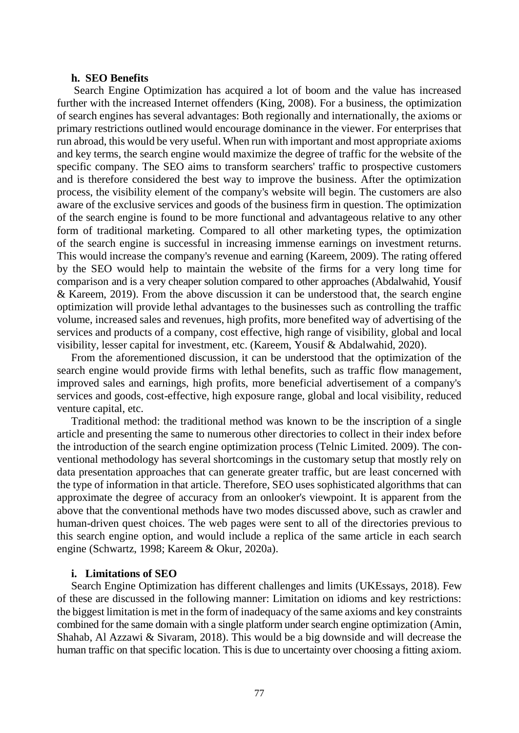#### **h. SEO Benefits**

Search Engine Optimization has acquired a lot of boom and the value has increased further with the increased Internet offenders (King, 2008). For a business, the optimization of search engines has several advantages: Both regionally and internationally, the axioms or primary restrictions outlined would encourage dominance in the viewer. For enterprises that run abroad, this would be very useful. When run with important and most appropriate axioms and key terms, the search engine would maximize the degree of traffic for the website of the specific company. The SEO aims to transform searchers' traffic to prospective customers and is therefore considered the best way to improve the business. After the optimization process, the visibility element of the company's website will begin. The customers are also aware of the exclusive services and goods of the business firm in question. The optimization of the search engine is found to be more functional and advantageous relative to any other form of traditional marketing. Compared to all other marketing types, the optimization of the search engine is successful in increasing immense earnings on investment returns. This would increase the company's revenue and earning (Kareem, 2009). The rating offered by the SEO would help to maintain the website of the firms for a very long time for comparison and is a very cheaper solution compared to other approaches (Abdalwahid, Yousif & Kareem, 2019). From the above discussion it can be understood that, the search engine optimization will provide lethal advantages to the businesses such as controlling the traffic volume, increased sales and revenues, high profits, more benefited way of advertising of the services and products of a company, cost effective, high range of visibility, global and local visibility, lesser capital for investment, etc. (Kareem, Yousif & Abdalwahid, 2020).

From the aforementioned discussion, it can be understood that the optimization of the search engine would provide firms with lethal benefits, such as traffic flow management, improved sales and earnings, high profits, more beneficial advertisement of a company's services and goods, cost-effective, high exposure range, global and local visibility, reduced venture capital, etc.

Traditional method: the traditional method was known to be the inscription of a single article and presenting the same to numerous other directories to collect in their index before the introduction of the search engine optimization process (Telnic Limited. 2009). The conventional methodology has several shortcomings in the customary setup that mostly rely on data presentation approaches that can generate greater traffic, but are least concerned with the type of information in that article. Therefore, SEO uses sophisticated algorithms that can approximate the degree of accuracy from an onlooker's viewpoint. It is apparent from the above that the conventional methods have two modes discussed above, such as crawler and human-driven quest choices. The web pages were sent to all of the directories previous to this search engine option, and would include a replica of the same article in each search engine (Schwartz, 1998; Kareem & Okur, 2020a).

#### **i. Limitations of SEO**

Search Engine Optimization has different challenges and limits (UKEssays, 2018). Few of these are discussed in the following manner: Limitation on idioms and key restrictions: the biggest limitation is met in the form of inadequacy of the same axioms and key constraints combined for the same domain with a single platform under search engine optimization (Amin, Shahab, Al Azzawi & Sivaram, 2018). This would be a big downside and will decrease the human traffic on that specific location. This is due to uncertainty over choosing a fitting axiom.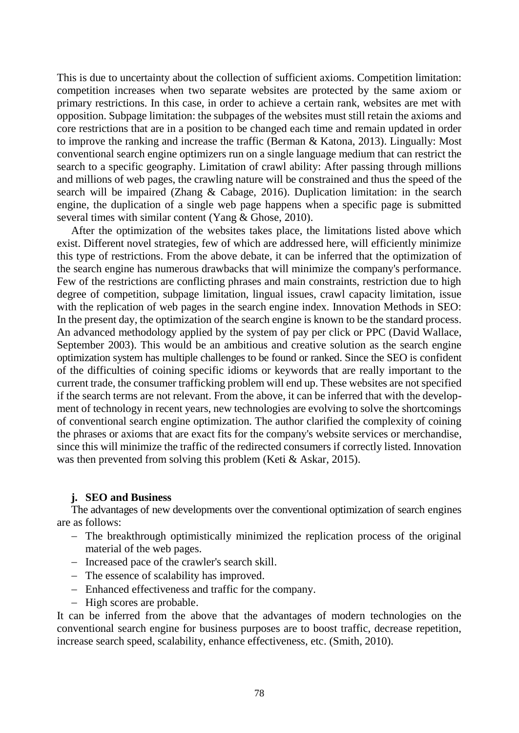This is due to uncertainty about the collection of sufficient axioms. Competition limitation: competition increases when two separate websites are protected by the same axiom or primary restrictions. In this case, in order to achieve a certain rank, websites are met with opposition. Subpage limitation: the subpages of the websites must still retain the axioms and core restrictions that are in a position to be changed each time and remain updated in order to improve the ranking and increase the traffic (Berman & Katona, 2013). Lingually: Most conventional search engine optimizers run on a single language medium that can restrict the search to a specific geography. Limitation of crawl ability: After passing through millions and millions of web pages, the crawling nature will be constrained and thus the speed of the search will be impaired (Zhang & Cabage, 2016). Duplication limitation: in the search engine, the duplication of a single web page happens when a specific page is submitted several times with similar content (Yang & Ghose, 2010).

After the optimization of the websites takes place, the limitations listed above which exist. Different novel strategies, few of which are addressed here, will efficiently minimize this type of restrictions. From the above debate, it can be inferred that the optimization of the search engine has numerous drawbacks that will minimize the company's performance. Few of the restrictions are conflicting phrases and main constraints, restriction due to high degree of competition, subpage limitation, lingual issues, crawl capacity limitation, issue with the replication of web pages in the search engine index. Innovation Methods in SEO: In the present day, the optimization of the search engine is known to be the standard process. An advanced methodology applied by the system of pay per click or PPC (David Wallace, September 2003). This would be an ambitious and creative solution as the search engine optimization system has multiple challenges to be found or ranked. Since the SEO is confident of the difficulties of coining specific idioms or keywords that are really important to the current trade, the consumer trafficking problem will end up. These websites are not specified if the search terms are not relevant. From the above, it can be inferred that with the development of technology in recent years, new technologies are evolving to solve the shortcomings of conventional search engine optimization. The author clarified the complexity of coining the phrases or axioms that are exact fits for the company's website services or merchandise, since this will minimize the traffic of the redirected consumers if correctly listed. Innovation was then prevented from solving this problem (Keti & Askar, 2015).

## **j. SEO and Business**

The advantages of new developments over the conventional optimization of search engines are as follows:

- The breakthrough optimistically minimized the replication process of the original material of the web pages.
- Increased pace of the crawler's search skill.
- The essence of scalability has improved.
- Enhanced effectiveness and traffic for the company.
- High scores are probable.

It can be inferred from the above that the advantages of modern technologies on the conventional search engine for business purposes are to boost traffic, decrease repetition, increase search speed, scalability, enhance effectiveness, etc. (Smith, 2010).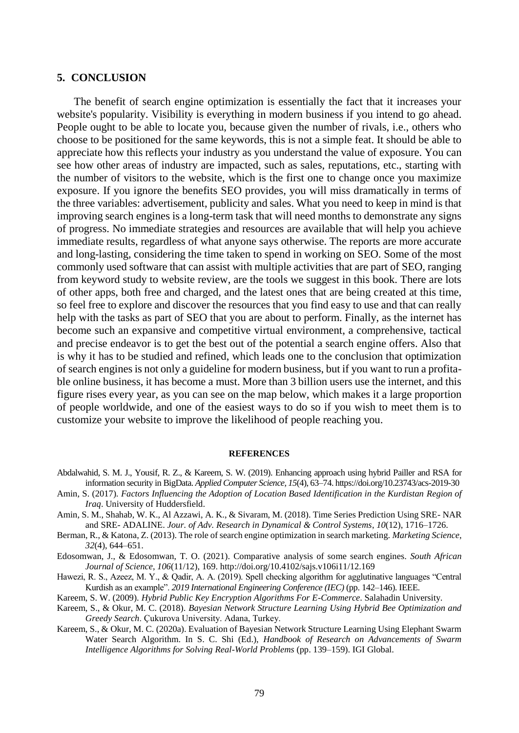## **5. CONCLUSION**

The benefit of search engine optimization is essentially the fact that it increases your website's popularity. Visibility is everything in modern business if you intend to go ahead. People ought to be able to locate you, because given the number of rivals, i.e., others who choose to be positioned for the same keywords, this is not a simple feat. It should be able to appreciate how this reflects your industry as you understand the value of exposure. You can see how other areas of industry are impacted, such as sales, reputations, etc., starting with the number of visitors to the website, which is the first one to change once you maximize exposure. If you ignore the benefits SEO provides, you will miss dramatically in terms of the three variables: advertisement, publicity and sales. What you need to keep in mind is that improving search engines is a long-term task that will need months to demonstrate any signs of progress. No immediate strategies and resources are available that will help you achieve immediate results, regardless of what anyone says otherwise. The reports are more accurate and long-lasting, considering the time taken to spend in working on SEO. Some of the most commonly used software that can assist with multiple activities that are part of SEO, ranging from keyword study to website review, are the tools we suggest in this book. There are lots of other apps, both free and charged, and the latest ones that are being created at this time, so feel free to explore and discover the resources that you find easy to use and that can really help with the tasks as part of SEO that you are about to perform. Finally, as the internet has become such an expansive and competitive virtual environment, a comprehensive, tactical and precise endeavor is to get the best out of the potential a search engine offers. Also that is why it has to be studied and refined, which leads one to the conclusion that optimization of search engines is not only a guideline for modern business, but if you want to run a profitable online business, it has become a must. More than 3 billion users use the internet, and this figure rises every year, as you can see on the map below, which makes it a large proportion of people worldwide, and one of the easiest ways to do so if you wish to meet them is to customize your website to improve the likelihood of people reaching you.

#### **REFERENCES**

- Abdalwahid, S. M. J., Yousif, R. Z., & Kareem, S. W. (2019). Enhancing approach using hybrid Pailler and RSA for information security in BigData. *Applied Computer Science, 15*(4), 63–74. https://doi.org/10.23743/acs-2019-30
- Amin, S. (2017). *Factors Influencing the Adoption of Location Based Identification in the Kurdistan Region of Iraq*. University of Huddersfield.
- Amin, S. M., Shahab, W. K., Al Azzawi, A. K., & Sivaram, M. (2018). Time Series Prediction Using SRE- NAR and SRE- ADALINE. *Jour. of Adv. Research in Dynamical & Control Systems*, *10*(12), 1716–1726.
- Berman, R., & Katona, Z. (2013). The role of search engine optimization in search marketing. *Marketing Science*, *32*(4), 644–651.

Edosomwan, J., & Edosomwan, T. O. (2021). Comparative analysis of some search engines. *South African Journal of Science*, *106*(11/12), 169. http://doi.org/10.4102/sajs.v106i11/12.169

Hawezi, R. S., Azeez, M. Y., & Qadir, A. A. (2019). Spell checking algorithm for agglutinative languages "Central Kurdish as an example". *2019 International Engineering Conference (IEC)* (pp. 142–146). IEEE.

Kareem, S. W. (2009). *Hybrid Public Key Encryption Algorithms For E-Commerce*. Salahadin University.

- Kareem, S., & Okur, M. C. (2018). *Bayesian Network Structure Learning Using Hybrid Bee Optimization and Greedy Search*. Çukurova University. Adana, Turkey.
- Kareem, S., & Okur, M. C. (2020a). Evaluation of Bayesian Network Structure Learning Using Elephant Swarm Water Search Algorithm. In S. C. Shi (Ed.), *Handbook of Research on Advancements of Swarm Intelligence Algorithms for Solving Real-World Problems* (pp. 139–159). IGI Global.